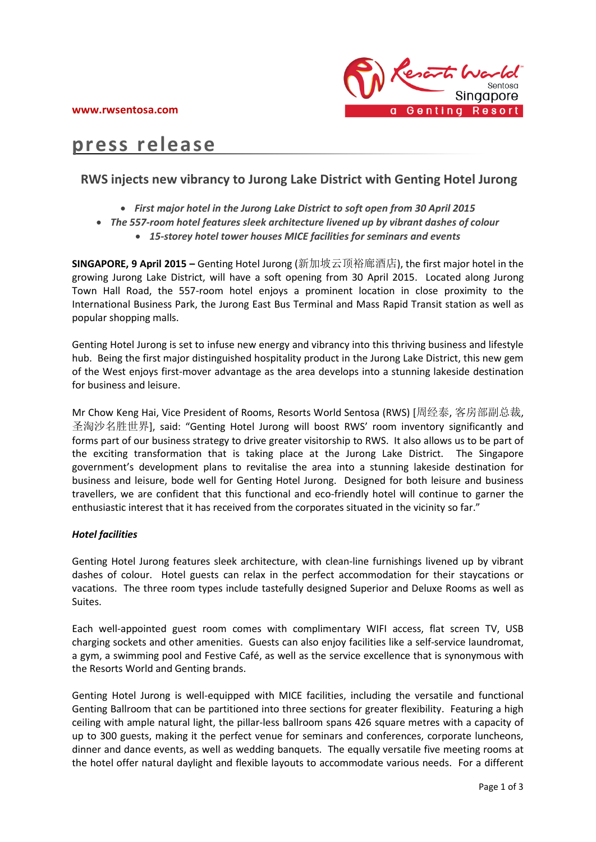

# **press release**

# **RWS injects new vibrancy to Jurong Lake District with Genting Hotel Jurong**

- *First major hotel in the Jurong Lake District to soft open from 30 April 2015*
- *The 557-room hotel features sleek architecture livened up by vibrant dashes of colour*
	- *15-storey hotel tower houses MICE facilities for seminars and events*

**SINGAPORE, 9 April 2015 –** Genting Hotel Jurong (新加坡云顶裕廊酒店), the first major hotel in the growing Jurong Lake District, will have a soft opening from 30 April 2015. Located along Jurong Town Hall Road, the 557-room hotel enjoys a prominent location in close proximity to the International Business Park, the Jurong East Bus Terminal and Mass Rapid Transit station as well as popular shopping malls.

Genting Hotel Jurong is set to infuse new energy and vibrancy into this thriving business and lifestyle hub. Being the first major distinguished hospitality product in the Jurong Lake District, this new gem of the West enjoys first-mover advantage as the area develops into a stunning lakeside destination for business and leisure.

Mr Chow Keng Hai, Vice President of Rooms, Resorts World Sentosa (RWS) [周经泰, 客房部副总裁, 圣淘沙名胜世界], said: "Genting Hotel Jurong will boost RWS' room inventory significantly and forms part of our business strategy to drive greater visitorship to RWS. It also allows us to be part of the exciting transformation that is taking place at the Jurong Lake District. The Singapore government's development plans to revitalise the area into a stunning lakeside destination for business and leisure, bode well for Genting Hotel Jurong. Designed for both leisure and business travellers, we are confident that this functional and eco-friendly hotel will continue to garner the enthusiastic interest that it has received from the corporates situated in the vicinity so far."

# *Hotel facilities*

Genting Hotel Jurong features sleek architecture, with clean-line furnishings livened up by vibrant dashes of colour. Hotel guests can relax in the perfect accommodation for their staycations or vacations. The three room types include tastefully designed Superior and Deluxe Rooms as well as Suites.

Each well-appointed guest room comes with complimentary WIFI access, flat screen TV, USB charging sockets and other amenities. Guests can also enjoy facilities like a self-service laundromat, a gym, a swimming pool and Festive Café, as well as the service excellence that is synonymous with the Resorts World and Genting brands.

Genting Hotel Jurong is well-equipped with MICE facilities, including the versatile and functional Genting Ballroom that can be partitioned into three sections for greater flexibility. Featuring a high ceiling with ample natural light, the pillar-less ballroom spans 426 square metres with a capacity of up to 300 guests, making it the perfect venue for seminars and conferences, corporate luncheons, dinner and dance events, as well as wedding banquets. The equally versatile five meeting rooms at the hotel offer natural daylight and flexible layouts to accommodate various needs. For a different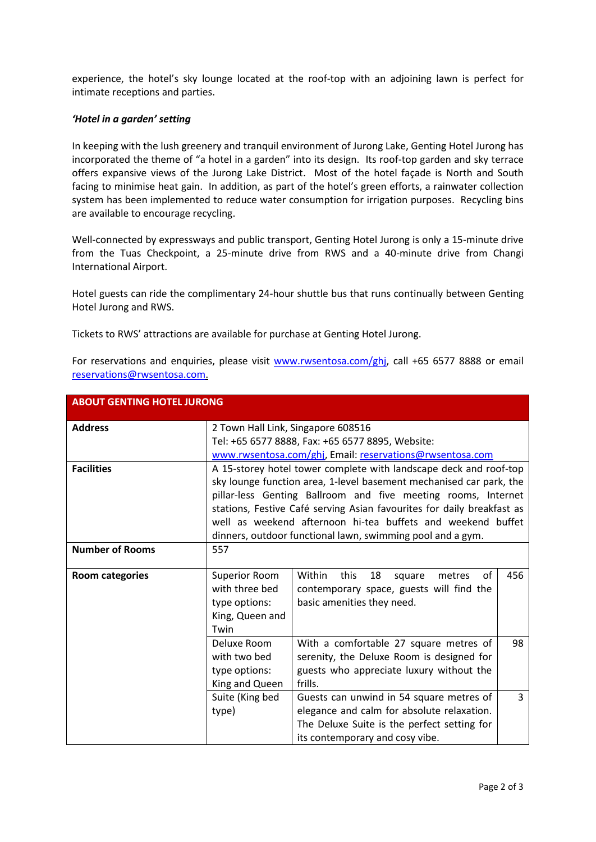experience, the hotel's sky lounge located at the roof-top with an adjoining lawn is perfect for intimate receptions and parties.

# *'Hotel in a garden' setting*

In keeping with the lush greenery and tranquil environment of Jurong Lake, Genting Hotel Jurong has incorporated the theme of "a hotel in a garden" into its design. Its roof-top garden and sky terrace offers expansive views of the Jurong Lake District. Most of the hotel façade is North and South facing to minimise heat gain. In addition, as part of the hotel's green efforts, a rainwater collection system has been implemented to reduce water consumption for irrigation purposes. Recycling bins are available to encourage recycling.

Well-connected by expressways and public transport, Genting Hotel Jurong is only a 15-minute drive from the Tuas Checkpoint, a 25-minute drive from RWS and a 40-minute drive from Changi International Airport.

Hotel guests can ride the complimentary 24-hour shuttle bus that runs continually between Genting Hotel Jurong and RWS.

Tickets to RWS' attractions are available for purchase at Genting Hotel Jurong.

For reservations and enquiries, please visit [www.rwsentosa.com/ghj,](http://www.rwsentosa.com/ghj) call +65 6577 8888 or email [reservations@rwsentosa.com.](mailto:reservations@rwsentosa.com)

| <b>ABOUT GENTING HOTEL JURONG</b> |                                                                        |                                                |     |
|-----------------------------------|------------------------------------------------------------------------|------------------------------------------------|-----|
| <b>Address</b>                    | 2 Town Hall Link, Singapore 608516                                     |                                                |     |
|                                   | Tel: +65 6577 8888, Fax: +65 6577 8895, Website:                       |                                                |     |
|                                   | www.rwsentosa.com/ghi, Email: reservations@rwsentosa.com               |                                                |     |
| <b>Facilities</b>                 | A 15-storey hotel tower complete with landscape deck and roof-top      |                                                |     |
|                                   | sky lounge function area, 1-level basement mechanised car park, the    |                                                |     |
|                                   | pillar-less Genting Ballroom and five meeting rooms, Internet          |                                                |     |
|                                   | stations, Festive Café serving Asian favourites for daily breakfast as |                                                |     |
|                                   | well as weekend afternoon hi-tea buffets and weekend buffet            |                                                |     |
|                                   | dinners, outdoor functional lawn, swimming pool and a gym.             |                                                |     |
| <b>Number of Rooms</b>            | 557                                                                    |                                                |     |
|                                   |                                                                        |                                                |     |
| <b>Room categories</b>            | <b>Superior Room</b>                                                   | οf<br>Within<br>18<br>this<br>metres<br>square | 456 |
|                                   | with three bed                                                         | contemporary space, guests will find the       |     |
|                                   | type options:                                                          | basic amenities they need.                     |     |
|                                   | King, Queen and                                                        |                                                |     |
|                                   | Twin                                                                   |                                                |     |
|                                   | Deluxe Room                                                            | With a comfortable 27 square metres of         | 98  |
|                                   | with two bed                                                           | serenity, the Deluxe Room is designed for      |     |
|                                   | type options:                                                          | guests who appreciate luxury without the       |     |
|                                   | King and Queen                                                         | frills.                                        |     |
|                                   | Suite (King bed                                                        | Guests can unwind in 54 square metres of       | 3   |
|                                   | type)                                                                  | elegance and calm for absolute relaxation.     |     |
|                                   |                                                                        | The Deluxe Suite is the perfect setting for    |     |
|                                   |                                                                        | its contemporary and cosy vibe.                |     |